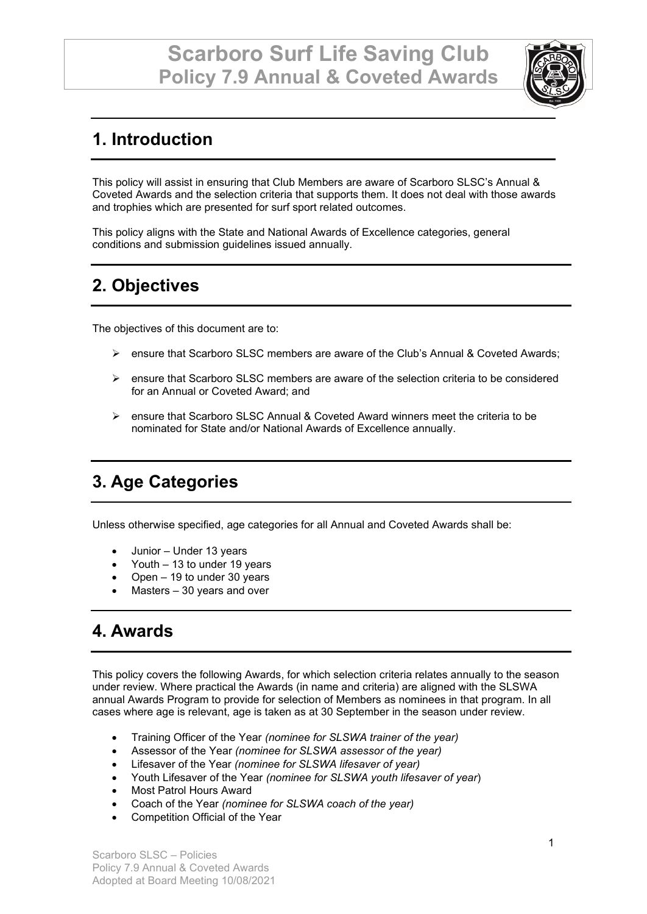

# **1. Introduction**

This policy will assist in ensuring that Club Members are aware of Scarboro SLSC's Annual & Coveted Awards and the selection criteria that supports them. It does not deal with those awards and trophies which are presented for surf sport related outcomes.

This policy aligns with the State and National Awards of Excellence categories, general conditions and submission guidelines issued annually.

# **2. Objectives**

The objectives of this document are to:

- ensure that Scarboro SLSC members are aware of the Club's Annual & Coveted Awards;
- $\triangleright$  ensure that Scarboro SLSC members are aware of the selection criteria to be considered for an Annual or Coveted Award; and
- $\triangleright$  ensure that Scarboro SLSC Annual & Coveted Award winners meet the criteria to be nominated for State and/or National Awards of Excellence annually.

## **3. Age Categories**

Unless otherwise specified, age categories for all Annual and Coveted Awards shall be:

- Junior Under 13 years
- Youth 13 to under 19 years
- Open 19 to under 30 years
- Masters  $-30$  years and over

#### **4. Awards**

This policy covers the following Awards, for which selection criteria relates annually to the season under review. Where practical the Awards (in name and criteria) are aligned with the SLSWA annual Awards Program to provide for selection of Members as nominees in that program. In all cases where age is relevant, age is taken as at 30 September in the season under review.

- Training Officer of the Year *(nominee for SLSWA trainer of the year)*
- Assessor of the Year *(nominee for SLSWA assessor of the year)*
- Lifesaver of the Year *(nominee for SLSWA lifesaver of year)*
- Youth Lifesaver of the Year *(nominee for SLSWA youth lifesaver of year*)
- Most Patrol Hours Award
- Coach of the Year *(nominee for SLSWA coach of the year)*
- Competition Official of the Year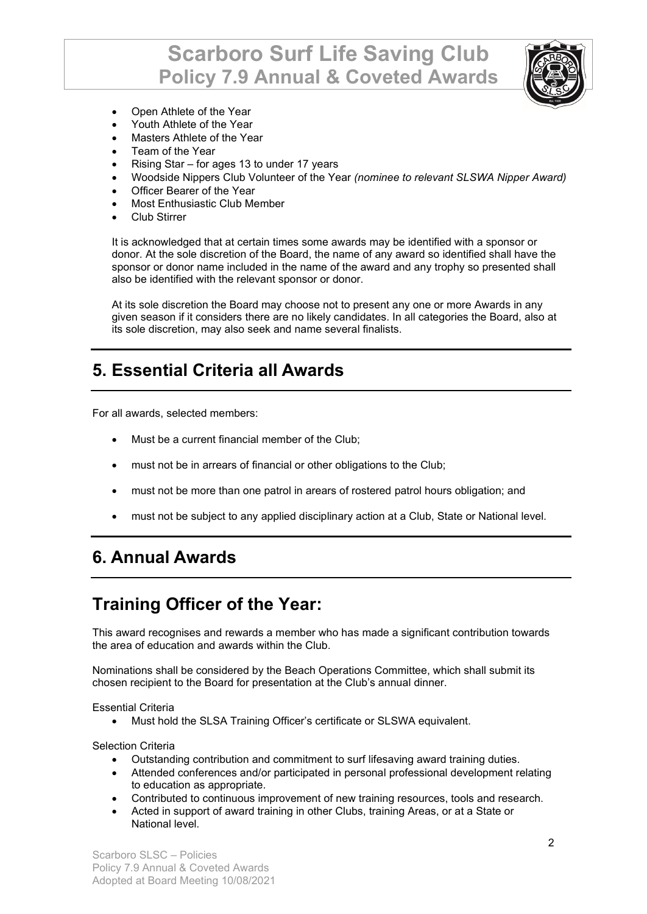# **Scarboro Surf Life Saving Club Policy 7.9 Annual & Coveted Awards**



- Open Athlete of the Year
- Youth Athlete of the Year
- Masters Athlete of the Year
- Team of the Year
- Rising Star for ages 13 to under 17 years
- Woodside Nippers Club Volunteer of the Year *(nominee to relevant SLSWA Nipper Award)*
- Officer Bearer of the Year
- Most Enthusiastic Club Member
- Club Stirrer

It is acknowledged that at certain times some awards may be identified with a sponsor or donor. At the sole discretion of the Board, the name of any award so identified shall have the sponsor or donor name included in the name of the award and any trophy so presented shall also be identified with the relevant sponsor or donor.

At its sole discretion the Board may choose not to present any one or more Awards in any given season if it considers there are no likely candidates. In all categories the Board, also at its sole discretion, may also seek and name several finalists.

#### **5. Essential Criteria all Awards**

For all awards, selected members:

- Must be a current financial member of the Club;
- must not be in arrears of financial or other obligations to the Club;
- must not be more than one patrol in arears of rostered patrol hours obligation; and
- must not be subject to any applied disciplinary action at a Club, State or National level.

#### **6. Annual Awards**

#### **Training Officer of the Year:**

This award recognises and rewards a member who has made a significant contribution towards the area of education and awards within the Club.

Nominations shall be considered by the Beach Operations Committee, which shall submit its chosen recipient to the Board for presentation at the Club's annual dinner.

Essential Criteria

• Must hold the SLSA Training Officer's certificate or SLSWA equivalent.

Selection Criteria

- Outstanding contribution and commitment to surf lifesaving award training duties.
- Attended conferences and/or participated in personal professional development relating to education as appropriate.
- Contributed to continuous improvement of new training resources, tools and research.
- Acted in support of award training in other Clubs, training Areas, or at a State or National level.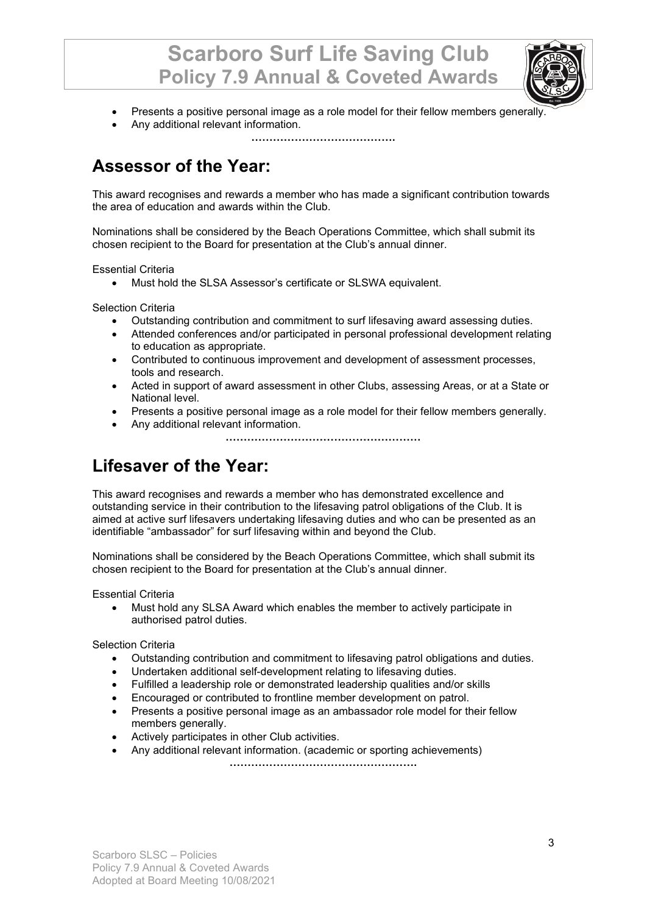

- Presents a positive personal image as a role model for their fellow members generally.
- Any additional relevant information.

**………………………………….**

### **Assessor of the Year:**

This award recognises and rewards a member who has made a significant contribution towards the area of education and awards within the Club.

Nominations shall be considered by the Beach Operations Committee, which shall submit its chosen recipient to the Board for presentation at the Club's annual dinner.

Essential Criteria

• Must hold the SLSA Assessor's certificate or SLSWA equivalent.

Selection Criteria

- Outstanding contribution and commitment to surf lifesaving award assessing duties.
- Attended conferences and/or participated in personal professional development relating to education as appropriate.
- Contributed to continuous improvement and development of assessment processes, tools and research.
- Acted in support of award assessment in other Clubs, assessing Areas, or at a State or National level.
- Presents a positive personal image as a role model for their fellow members generally.
- Any additional relevant information.

**………………………………………………**

## **Lifesaver of the Year:**

This award recognises and rewards a member who has demonstrated excellence and outstanding service in their contribution to the lifesaving patrol obligations of the Club. It is aimed at active surf lifesavers undertaking lifesaving duties and who can be presented as an identifiable "ambassador" for surf lifesaving within and beyond the Club.

Nominations shall be considered by the Beach Operations Committee, which shall submit its chosen recipient to the Board for presentation at the Club's annual dinner.

Essential Criteria

• Must hold any SLSA Award which enables the member to actively participate in authorised patrol duties.

Selection Criteria

- Outstanding contribution and commitment to lifesaving patrol obligations and duties.
- Undertaken additional self-development relating to lifesaving duties.
- Fulfilled a leadership role or demonstrated leadership qualities and/or skills
- Encouraged or contributed to frontline member development on patrol.
- Presents a positive personal image as an ambassador role model for their fellow members generally.
- Actively participates in other Club activities.
- Any additional relevant information. (academic or sporting achievements) **…………………………………………….**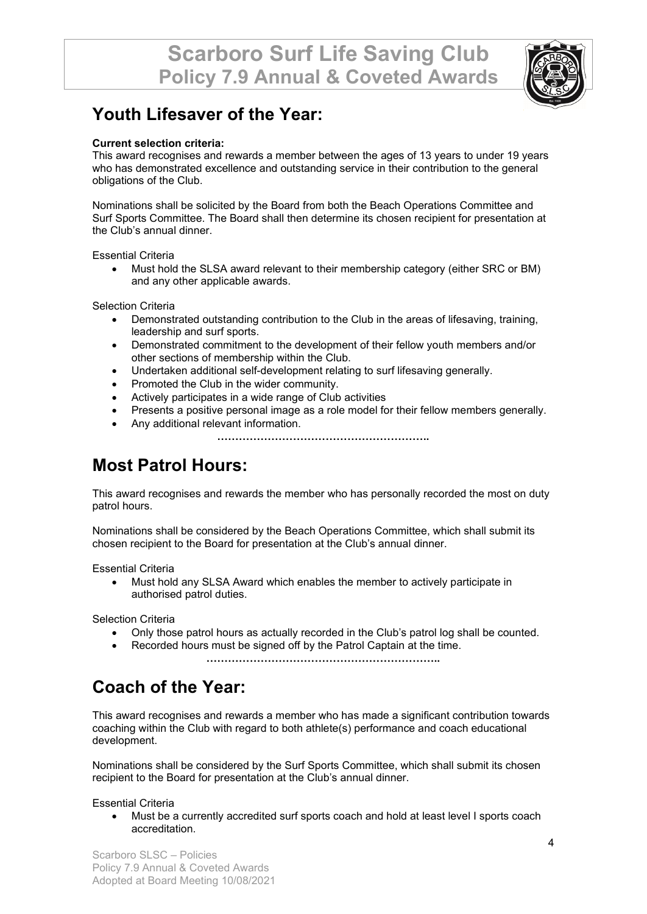

#### **Youth Lifesaver of the Year:**

#### **Current selection criteria:**

This award recognises and rewards a member between the ages of 13 years to under 19 years who has demonstrated excellence and outstanding service in their contribution to the general obligations of the Club.

Nominations shall be solicited by the Board from both the Beach Operations Committee and Surf Sports Committee. The Board shall then determine its chosen recipient for presentation at the Club's annual dinner.

Essential Criteria

• Must hold the SLSA award relevant to their membership category (either SRC or BM) and any other applicable awards.

Selection Criteria

- Demonstrated outstanding contribution to the Club in the areas of lifesaving, training, leadership and surf sports.
- Demonstrated commitment to the development of their fellow youth members and/or other sections of membership within the Club.
- Undertaken additional self-development relating to surf lifesaving generally.
- Promoted the Club in the wider community.
- Actively participates in a wide range of Club activities
- Presents a positive personal image as a role model for their fellow members generally.
- Any additional relevant information.

**…………………………………………………..**

#### **Most Patrol Hours:**

This award recognises and rewards the member who has personally recorded the most on duty patrol hours.

Nominations shall be considered by the Beach Operations Committee, which shall submit its chosen recipient to the Board for presentation at the Club's annual dinner.

Essential Criteria

• Must hold any SLSA Award which enables the member to actively participate in authorised patrol duties.

Selection Criteria

- Only those patrol hours as actually recorded in the Club's patrol log shall be counted.
- Recorded hours must be signed off by the Patrol Captain at the time. **………………………………………………………..**

## **Coach of the Year:**

This award recognises and rewards a member who has made a significant contribution towards coaching within the Club with regard to both athlete(s) performance and coach educational development.

Nominations shall be considered by the Surf Sports Committee, which shall submit its chosen recipient to the Board for presentation at the Club's annual dinner.

Essential Criteria

• Must be a currently accredited surf sports coach and hold at least level I sports coach accreditation.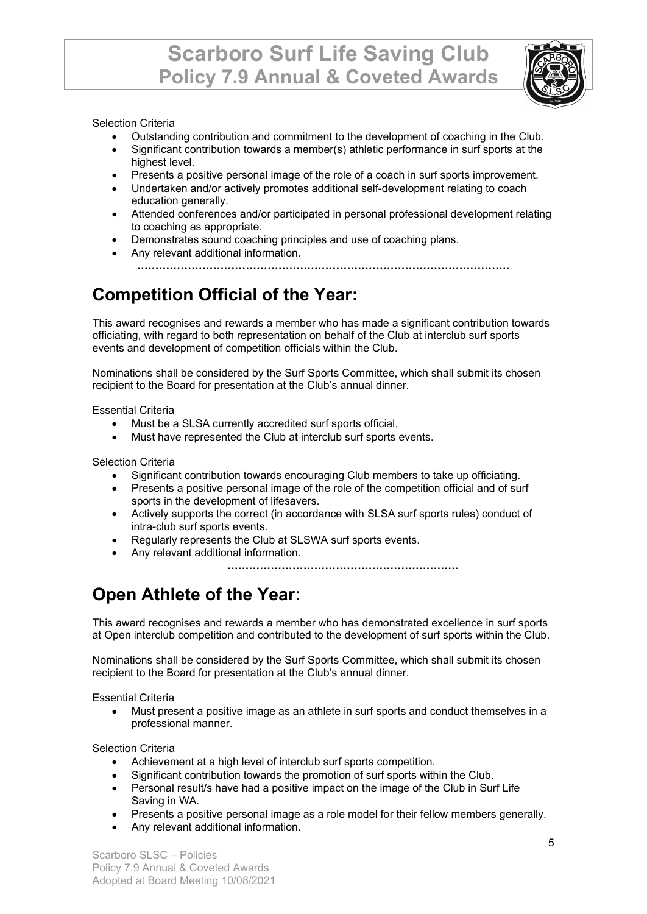

#### Selection Criteria

- Outstanding contribution and commitment to the development of coaching in the Club.
- Significant contribution towards a member(s) athletic performance in surf sports at the highest level.
- Presents a positive personal image of the role of a coach in surf sports improvement.
- Undertaken and/or actively promotes additional self-development relating to coach education generally.
- Attended conferences and/or participated in personal professional development relating to coaching as appropriate.
- Demonstrates sound coaching principles and use of coaching plans.
- Any relevant additional information.

**………………………………………………………………………………………….**

# **Competition Official of the Year:**

This award recognises and rewards a member who has made a significant contribution towards officiating, with regard to both representation on behalf of the Club at interclub surf sports events and development of competition officials within the Club.

Nominations shall be considered by the Surf Sports Committee, which shall submit its chosen recipient to the Board for presentation at the Club's annual dinner.

Essential Criteria

- Must be a SLSA currently accredited surf sports official.
- Must have represented the Club at interclub surf sports events.

Selection Criteria

- Significant contribution towards encouraging Club members to take up officiating.
- Presents a positive personal image of the role of the competition official and of surf sports in the development of lifesavers.
- Actively supports the correct (in accordance with SLSA surf sports rules) conduct of intra-club surf sports events.
- Regularly represents the Club at SLSWA surf sports events.
- Any relevant additional information.

**……………………………………………………….**

## **Open Athlete of the Year:**

This award recognises and rewards a member who has demonstrated excellence in surf sports at Open interclub competition and contributed to the development of surf sports within the Club.

Nominations shall be considered by the Surf Sports Committee, which shall submit its chosen recipient to the Board for presentation at the Club's annual dinner.

Essential Criteria

• Must present a positive image as an athlete in surf sports and conduct themselves in a professional manner.

Selection Criteria

- Achievement at a high level of interclub surf sports competition.
- Significant contribution towards the promotion of surf sports within the Club.
- Personal result/s have had a positive impact on the image of the Club in Surf Life Saving in WA.
- Presents a positive personal image as a role model for their fellow members generally.
- Any relevant additional information.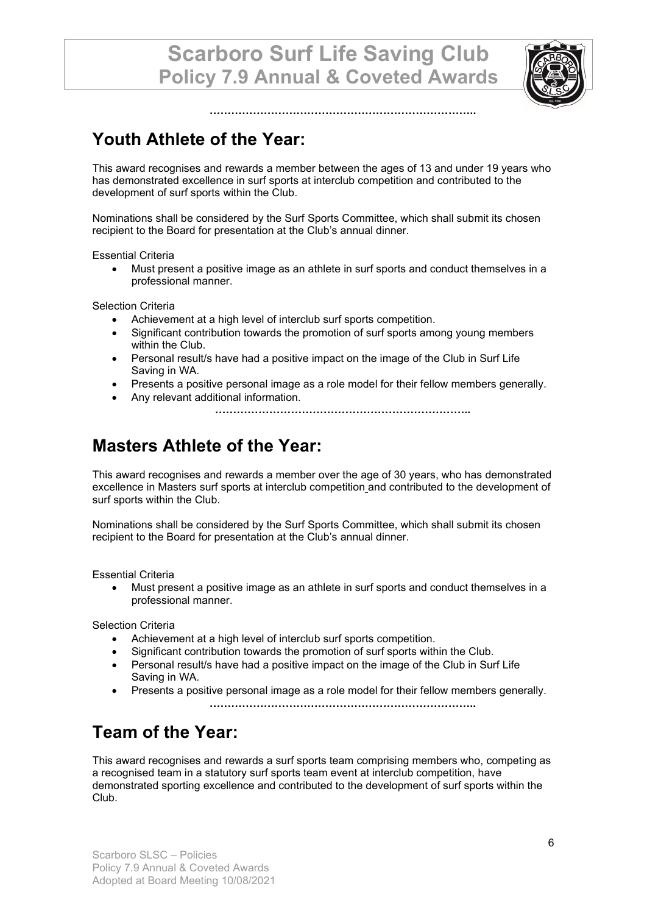**………………………………………………………………..**



**Youth Athlete of the Year:**

This award recognises and rewards a member between the ages of 13 and under 19 years who has demonstrated excellence in surf sports at interclub competition and contributed to the development of surf sports within the Club.

Nominations shall be considered by the Surf Sports Committee, which shall submit its chosen recipient to the Board for presentation at the Club's annual dinner.

Essential Criteria

• Must present a positive image as an athlete in surf sports and conduct themselves in a professional manner.

Selection Criteria

- Achievement at a high level of interclub surf sports competition.
- Significant contribution towards the promotion of surf sports among young members within the Club.
- Personal result/s have had a positive impact on the image of the Club in Surf Life Saving in WA.
- Presents a positive personal image as a role model for their fellow members generally.
- Any relevant additional information.
	- **……………………………………………………………..**

### **Masters Athlete of the Year:**

This award recognises and rewards a member over the age of 30 years, who has demonstrated excellence in Masters surf sports at interclub competition and contributed to the development of surf sports within the Club.

Nominations shall be considered by the Surf Sports Committee, which shall submit its chosen recipient to the Board for presentation at the Club's annual dinner.

Essential Criteria

• Must present a positive image as an athlete in surf sports and conduct themselves in a professional manner.

Selection Criteria

- Achievement at a high level of interclub surf sports competition.
- Significant contribution towards the promotion of surf sports within the Club.
- Personal result/s have had a positive impact on the image of the Club in Surf Life Saving in WA.
- Presents a positive personal image as a role model for their fellow members generally.

**………………………………………………………………..**

## **Team of the Year:**

This award recognises and rewards a surf sports team comprising members who, competing as a recognised team in a statutory surf sports team event at interclub competition, have demonstrated sporting excellence and contributed to the development of surf sports within the Club.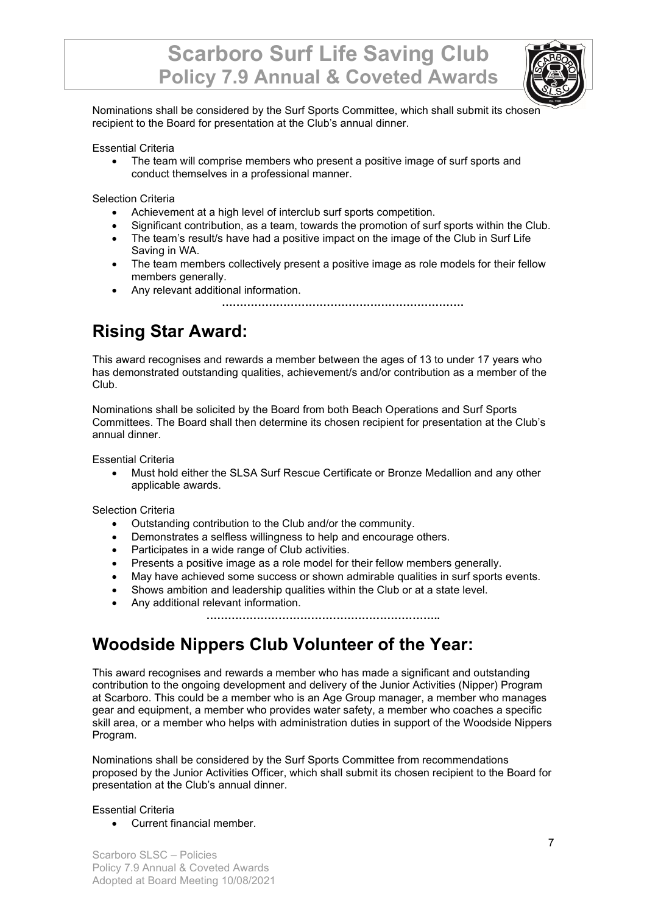

Nominations shall be considered by the Surf Sports Committee, which shall submit its chosen recipient to the Board for presentation at the Club's annual dinner.

Essential Criteria

• The team will comprise members who present a positive image of surf sports and conduct themselves in a professional manner.

Selection Criteria

- Achievement at a high level of interclub surf sports competition.
- Significant contribution, as a team, towards the promotion of surf sports within the Club.
- The team's result/s have had a positive impact on the image of the Club in Surf Life Saving in WA.
- The team members collectively present a positive image as role models for their fellow members generally.
- Any relevant additional information.

**………………………………………………………….**

### **Rising Star Award:**

This award recognises and rewards a member between the ages of 13 to under 17 years who has demonstrated outstanding qualities, achievement/s and/or contribution as a member of the Club.

Nominations shall be solicited by the Board from both Beach Operations and Surf Sports Committees. The Board shall then determine its chosen recipient for presentation at the Club's annual dinner.

Essential Criteria

• Must hold either the SLSA Surf Rescue Certificate or Bronze Medallion and any other applicable awards.

Selection Criteria

- Outstanding contribution to the Club and/or the community.
- Demonstrates a selfless willingness to help and encourage others.
- Participates in a wide range of Club activities.
- Presents a positive image as a role model for their fellow members generally.
- May have achieved some success or shown admirable qualities in surf sports events.
- Shows ambition and leadership qualities within the Club or at a state level.
- Any additional relevant information.

**………………………………………………………..**

#### **Woodside Nippers Club Volunteer of the Year:**

This award recognises and rewards a member who has made a significant and outstanding contribution to the ongoing development and delivery of the Junior Activities (Nipper) Program at Scarboro. This could be a member who is an Age Group manager, a member who manages gear and equipment, a member who provides water safety, a member who coaches a specific skill area, or a member who helps with administration duties in support of the Woodside Nippers Program.

Nominations shall be considered by the Surf Sports Committee from recommendations proposed by the Junior Activities Officer, which shall submit its chosen recipient to the Board for presentation at the Club's annual dinner.

#### Essential Criteria

• Current financial member.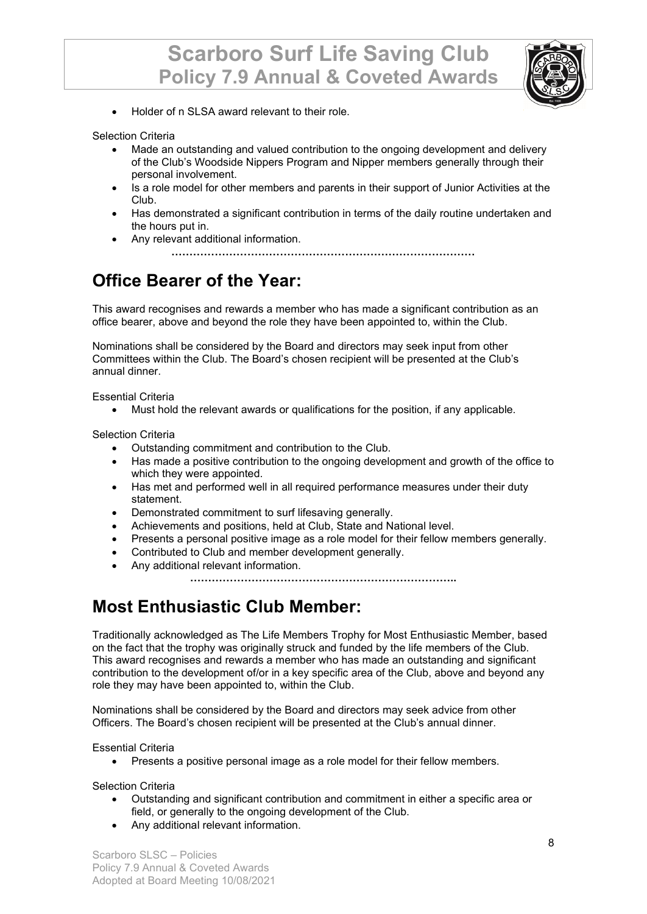

• Holder of n SLSA award relevant to their role.

Selection Criteria

- Made an outstanding and valued contribution to the ongoing development and delivery of the Club's Woodside Nippers Program and Nipper members generally through their personal involvement.
- Is a role model for other members and parents in their support of Junior Activities at the Club.
- Has demonstrated a significant contribution in terms of the daily routine undertaken and the hours put in.
- Any relevant additional information.

**…………………………………………………………………………**

## **Office Bearer of the Year:**

This award recognises and rewards a member who has made a significant contribution as an office bearer, above and beyond the role they have been appointed to, within the Club.

Nominations shall be considered by the Board and directors may seek input from other Committees within the Club. The Board's chosen recipient will be presented at the Club's annual dinner.

Essential Criteria

• Must hold the relevant awards or qualifications for the position, if any applicable.

Selection Criteria

- Outstanding commitment and contribution to the Club.
- Has made a positive contribution to the ongoing development and growth of the office to which they were appointed.
- Has met and performed well in all required performance measures under their duty statement.
- Demonstrated commitment to surf lifesaving generally.
- Achievements and positions, held at Club, State and National level.
- Presents a personal positive image as a role model for their fellow members generally.
- Contributed to Club and member development generally.
- Any additional relevant information.

**………………………………………………………………..**

#### **Most Enthusiastic Club Member:**

Traditionally acknowledged as The Life Members Trophy for Most Enthusiastic Member, based on the fact that the trophy was originally struck and funded by the life members of the Club. This award recognises and rewards a member who has made an outstanding and significant contribution to the development of/or in a key specific area of the Club, above and beyond any role they may have been appointed to, within the Club.

Nominations shall be considered by the Board and directors may seek advice from other Officers. The Board's chosen recipient will be presented at the Club's annual dinner.

Essential Criteria

• Presents a positive personal image as a role model for their fellow members.

Selection Criteria

- Outstanding and significant contribution and commitment in either a specific area or field, or generally to the ongoing development of the Club.
- Any additional relevant information.